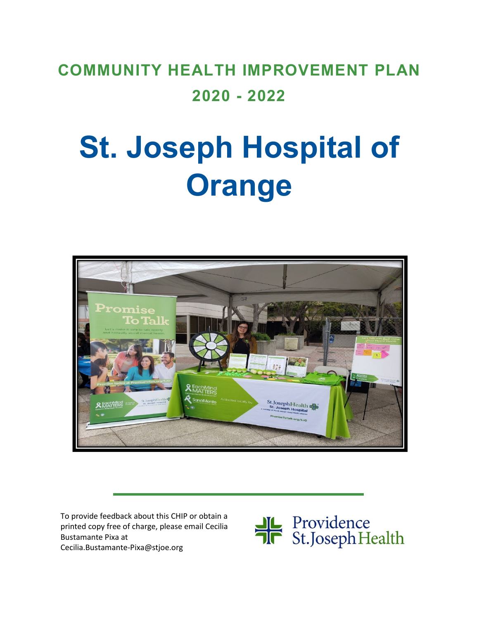# **COMMUNITY HEALTH IMPROVEMENT PLAN 2020 - 2022**

# **St. Joseph Hospital of Orange**



To provide feedback about this CHIP or obtain a printed copy free of charge, please email Cecilia Bustamante Pixa at Cecilia.Bustamante-Pixa@stjoe.org

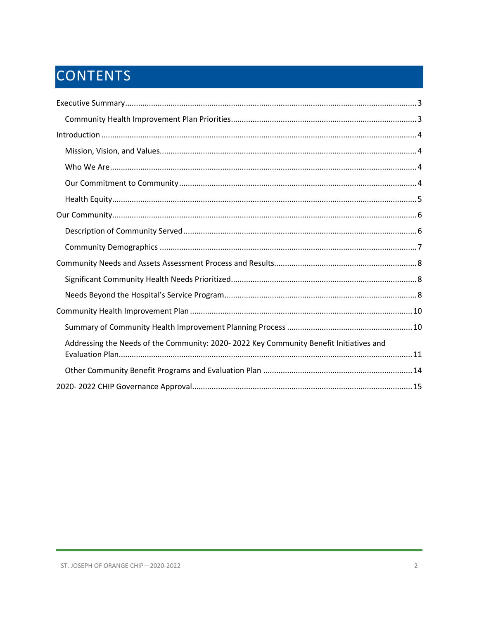# CONTENTS

| Addressing the Needs of the Community: 2020-2022 Key Community Benefit Initiatives and |
|----------------------------------------------------------------------------------------|
|                                                                                        |
|                                                                                        |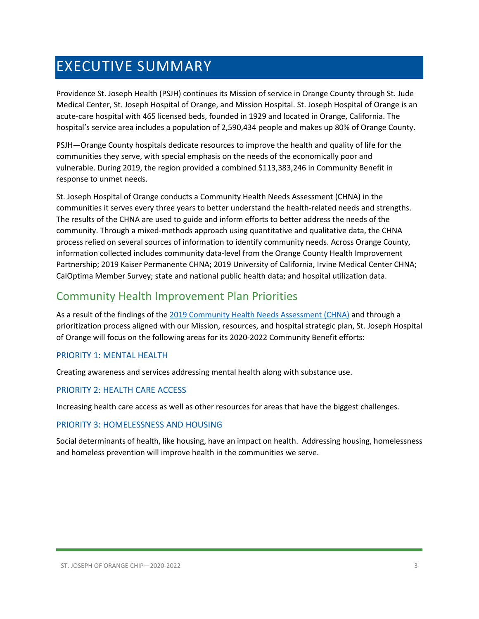# <span id="page-2-0"></span>EXECUTIVE SUMMARY

Providence St. Joseph Health (PSJH) continues its Mission of service in Orange County through St. Jude Medical Center, St. Joseph Hospital of Orange, and Mission Hospital. St. Joseph Hospital of Orange is an acute-care hospital with 465 licensed beds, founded in 1929 and located in Orange, California. The hospital's service area includes a population of 2,590,434 people and makes up 80% of Orange County.

PSJH—Orange County hospitals dedicate resources to improve the health and quality of life for the communities they serve, with special emphasis on the needs of the economically poor and vulnerable. During 2019, the region provided a combined \$113,383,246 in Community Benefit in response to unmet needs.

St. Joseph Hospital of Orange conducts a Community Health Needs Assessment (CHNA) in the communities it serves every three years to better understand the health-related needs and strengths. The results of the CHNA are used to guide and inform efforts to better address the needs of the community. Through a mixed-methods approach using quantitative and qualitative data, the CHNA process relied on several sources of information to identify community needs. Across Orange County, information collected includes community data-level from the Orange County Health Improvement Partnership; 2019 Kaiser Permanente CHNA; 2019 University of California, Irvine Medical Center CHNA; CalOptima Member Survey; state and national public health data; and hospital utilization data.

### <span id="page-2-1"></span>Community Health Improvement Plan Priorities

As a result of the findings of the [2019 Community Health Needs Assessment \(CHNA\)](https://www.providence.org/-/media/Project/psjh/providence/socal/Files/about/community-benefit/reports/2019chna-orangecounty.pdf?la=en&hash=1EFA38ECAF5E0C2A9CFBA76694525C43) and through a prioritization process aligned with our Mission, resources, and hospital strategic plan, St. Joseph Hospital of Orange will focus on the following areas for its 2020-2022 Community Benefit efforts:

#### PRIORITY 1: MENTAL HEALTH

Creating awareness and services addressing mental health along with substance use.

#### PRIORITY 2: HEALTH CARE ACCESS

Increasing health care access as well as other resources for areas that have the biggest challenges.

#### PRIORITY 3: HOMELESSNESS AND HOUSING

Social determinants of health, like housing, have an impact on health. Addressing housing, homelessness and homeless prevention will improve health in the communities we serve.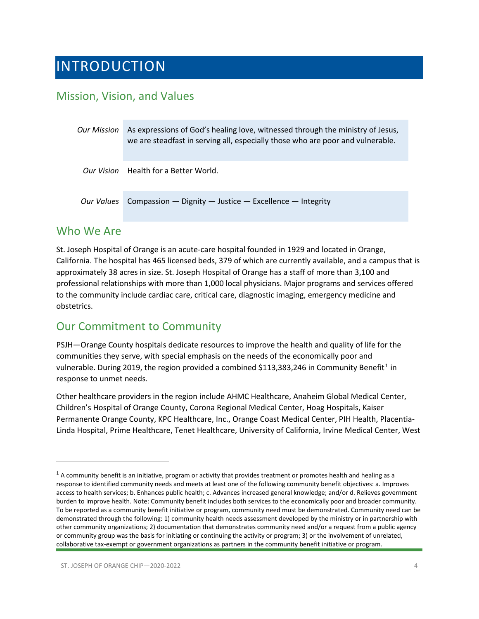# <span id="page-3-0"></span>INTRODUCTION

# <span id="page-3-1"></span>Mission, Vision, and Values

| <b>Our Mission</b> | As expressions of God's healing love, witnessed through the ministry of Jesus,<br>we are steadfast in serving all, especially those who are poor and vulnerable. |  |
|--------------------|------------------------------------------------------------------------------------------------------------------------------------------------------------------|--|
|                    | Our Vision Health for a Better World.                                                                                                                            |  |
| Our Values         | Compassion - Dignity - Justice - Excellence - Integrity                                                                                                          |  |

#### <span id="page-3-2"></span>Who We Are

St. Joseph Hospital of Orange is an acute-care hospital founded in 1929 and located in Orange, California. The hospital has 465 licensed beds, 379 of which are currently available, and a campus that is approximately 38 acres in size. St. Joseph Hospital of Orange has a staff of more than 3,100 and professional relationships with more than 1,000 local physicians. Major programs and services offered to the community include cardiac care, critical care, diagnostic imaging, emergency medicine and obstetrics.

# <span id="page-3-3"></span>Our Commitment to Community

PSJH—Orange County hospitals dedicate resources to improve the health and quality of life for the communities they serve, with special emphasis on the needs of the economically poor and vulnerable. During 20[1](#page-3-4)9, the region provided a combined \$113,383,246 in Community Benefit<sup>1</sup> in response to unmet needs.

Other healthcare providers in the region include AHMC Healthcare, Anaheim Global Medical Center, Children's Hospital of Orange County, Corona Regional Medical Center, Hoag Hospitals, Kaiser Permanente Orange County, KPC Healthcare, Inc., Orange Coast Medical Center, PIH Health, Placentia-Linda Hospital, Prime Healthcare, Tenet Healthcare, University of California, Irvine Medical Center, West

<span id="page-3-4"></span> $1$  A community benefit is an initiative, program or activity that provides treatment or promotes health and healing as a response to identified community needs and meets at least one of the following community benefit objectives: a. Improves access to health services; b. Enhances public health; c. Advances increased general knowledge; and/or d. Relieves government burden to improve health. Note: Community benefit includes both services to the economically poor and broader community. To be reported as a community benefit initiative or program, community need must be demonstrated. Community need can be demonstrated through the following: 1) community health needs assessment developed by the ministry or in partnership with other community organizations; 2) documentation that demonstrates community need and/or a request from a public agency or community group was the basis for initiating or continuing the activity or program; 3) or the involvement of unrelated, collaborative tax-exempt or government organizations as partners in the community benefit initiative or program.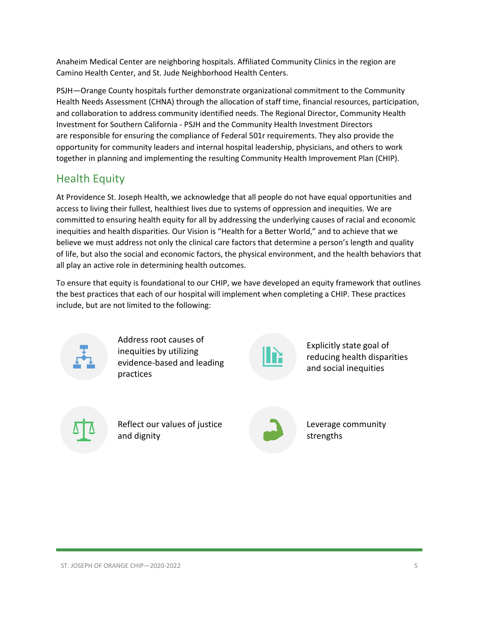Anaheim Medical Center are neighboring hospitals. Affiliated Community Clinics in the region are Camino Health Center, and St. Jude Neighborhood Health Centers.

PSJH—Orange County hospitals further demonstrate organizational commitment to the Community Health Needs Assessment (CHNA) through the allocation of staff time, financial resources, participation, and collaboration to address community identified needs. The Regional Director, Community Health Investment for Southern California - PSJH and the Community Health Investment Directors are responsible for ensuring the compliance of Federal 501r requirements. They also provide the opportunity for community leaders and internal hospital leadership, physicians, and others to work together in planning and implementing the resulting Community Health Improvement Plan (CHIP).

### <span id="page-4-0"></span>Health Equity

At Providence St. Joseph Health, we acknowledge that all people do not have equal opportunities and access to living their fullest, healthiest lives due to systems of oppression and inequities. We are committed to ensuring health equity for all by addressing the underlying causes of racial and economic inequities and health disparities. Our Vision is "Health for a Better World," and to achieve that we believe we must address not only the clinical care factors that determine a person's length and quality of life, but also the social and economic factors, the physical environment, and the health behaviors that all play an active role in determining health outcomes.

To ensure that equity is foundational to our CHIP, we have developed an equity framework that outlines the best practices that each of our hospital will implement when completing a CHIP. These practices include, but are not limited to the following:



Address root causes of inequities by utilizing evidence-based and leading practices



Explicitly state goal of reducing health disparities and social inequities



Reflect our values of justice and dignity



Leverage community strengths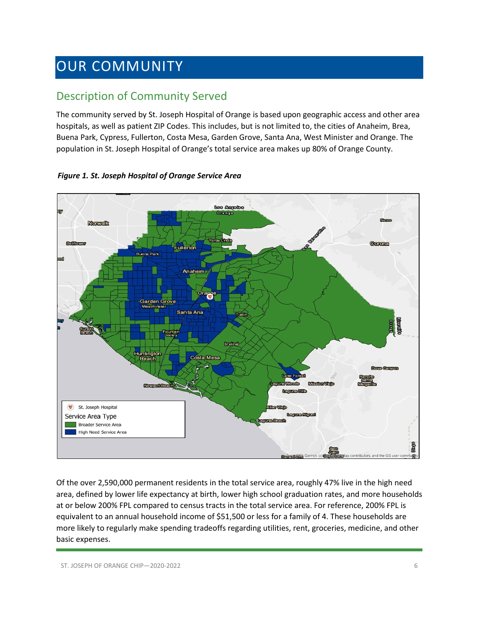# <span id="page-5-0"></span>OUR COMMUNITY

# <span id="page-5-1"></span>Description of Community Served

The community served by St. Joseph Hospital of Orange is based upon geographic access and other area hospitals, as well as patient ZIP Codes. This includes, but is not limited to, the cities of Anaheim, Brea, Buena Park, Cypress, Fullerton, Costa Mesa, Garden Grove, Santa Ana, West Minister and Orange. The population in St. Joseph Hospital of Orange's total service area makes up 80% of Orange County.



*Figure 1. St. Joseph Hospital of Orange Service Area*

Of the over 2,590,000 permanent residents in the total service area, roughly 47% live in the high need area, defined by lower life expectancy at birth, lower high school graduation rates, and more households at or below 200% FPL compared to census tracts in the total service area. For reference, 200% FPL is equivalent to an annual household income of \$51,500 or less for a family of 4. These households are more likely to regularly make spending tradeoffs regarding utilities, rent, groceries, medicine, and other basic expenses.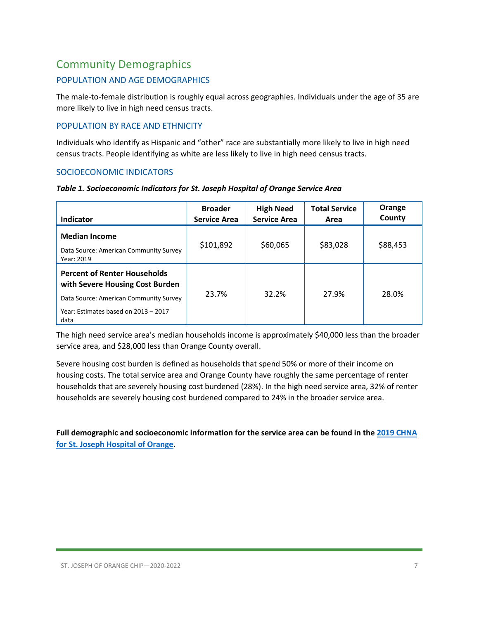# <span id="page-6-0"></span>Community Demographics

#### POPULATION AND AGE DEMOGRAPHICS

The male-to-female distribution is roughly equal across geographies. Individuals under the age of 35 are more likely to live in high need census tracts.

#### POPULATION BY RACE AND ETHNICITY

Individuals who identify as Hispanic and "other" race are substantially more likely to live in high need census tracts. People identifying as white are less likely to live in high need census tracts.

#### SOCIOECONOMIC INDICATORS

| Indicator                                                                    | <b>Broader</b><br><b>Service Area</b> | <b>High Need</b><br><b>Service Area</b> | <b>Total Service</b><br>Area | Orange<br>County |
|------------------------------------------------------------------------------|---------------------------------------|-----------------------------------------|------------------------------|------------------|
| <b>Median Income</b><br>Data Source: American Community Survey<br>Year: 2019 | \$101,892                             | \$60,065                                | \$83,028                     | \$88,453         |
| <b>Percent of Renter Households</b><br>with Severe Housing Cost Burden       |                                       |                                         |                              |                  |
| Data Source: American Community Survey                                       | 23.7%                                 | 32.2%                                   | 27.9%                        | 28.0%            |
| Year: Estimates based on 2013 - 2017<br>data                                 |                                       |                                         |                              |                  |

The high need service area's median households income is approximately \$40,000 less than the broader service area, and \$28,000 less than Orange County overall.

Severe housing cost burden is defined as households that spend 50% or more of their income on housing costs. The total service area and Orange County have roughly the same percentage of renter households that are severely housing cost burdened (28%). In the high need service area, 32% of renter households are severely housing cost burdened compared to 24% in the broader service area.

**Full demographic and socioeconomic information for the service area can be found in the 2019 CHNA for St. Joseph Hospital of Orange.**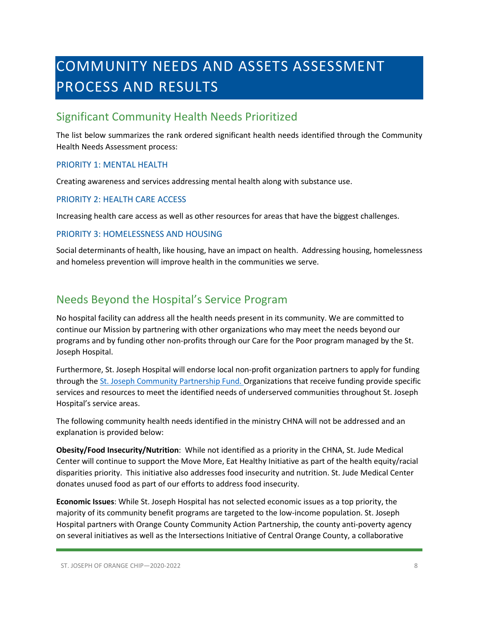# <span id="page-7-0"></span>COMMUNITY NEEDS AND ASSETS ASSESSMENT PROCESS AND RESULTS

# <span id="page-7-1"></span>Significant Community Health Needs Prioritized

The list below summarizes the rank ordered significant health needs identified through the Community Health Needs Assessment process:

#### PRIORITY 1: MENTAL HEALTH

Creating awareness and services addressing mental health along with substance use.

#### PRIORITY 2: HEALTH CARE ACCESS

Increasing health care access as well as other resources for areas that have the biggest challenges.

#### PRIORITY 3: HOMELESSNESS AND HOUSING

Social determinants of health, like housing, have an impact on health. Addressing housing, homelessness and homeless prevention will improve health in the communities we serve.

### <span id="page-7-2"></span>Needs Beyond the Hospital's Service Program

No hospital facility can address all the health needs present in its community. We are committed to continue our Mission by partnering with other organizations who may meet the needs beyond our programs and by funding other non-profits through our Care for the Poor program managed by the St. Joseph Hospital.

Furthermore, St. Joseph Hospital will endorse local non-profit organization partners to apply for funding through th[e St. Joseph Community Partnership](http://www.stjhs.org/SJH-Programs/SJH-Community-Partnership-Fund.aspx) Fund. Organizations that receive funding provide specific services and resources to meet the identified needs of underserved communities throughout St. Joseph Hospital's service areas.

The following community health needs identified in the ministry CHNA will not be addressed and an explanation is provided below:

**Obesity/Food Insecurity/Nutrition**: While not identified as a priority in the CHNA, St. Jude Medical Center will continue to support the Move More, Eat Healthy Initiative as part of the health equity/racial disparities priority. This initiative also addresses food insecurity and nutrition. St. Jude Medical Center donates unused food as part of our efforts to address food insecurity.

**Economic Issues**: While St. Joseph Hospital has not selected economic issues as a top priority, the majority of its community benefit programs are targeted to the low-income population. St. Joseph Hospital partners with Orange County Community Action Partnership, the county anti-poverty agency on several initiatives as well as the Intersections Initiative of Central Orange County, a collaborative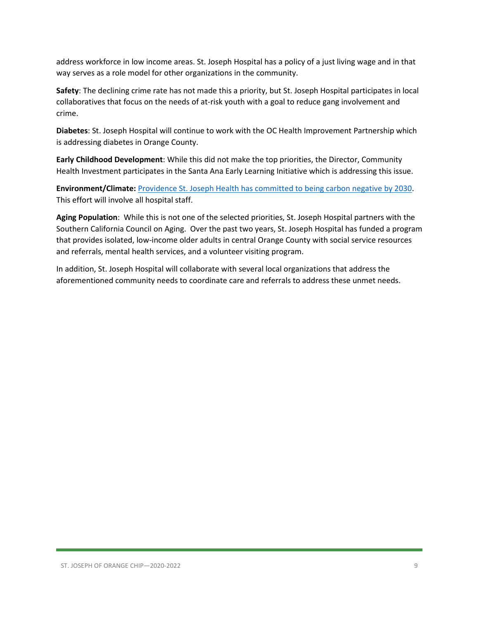address workforce in low income areas. St. Joseph Hospital has a policy of a just living wage and in that way serves as a role model for other organizations in the community.

**Safety**: The declining crime rate has not made this a priority, but St. Joseph Hospital participates in local collaboratives that focus on the needs of at-risk youth with a goal to reduce gang involvement and crime.

**Diabetes**: St. Joseph Hospital will continue to work with the OC Health Improvement Partnership which is addressing diabetes in Orange County.

**Early Childhood Development**: While this did not make the top priorities, the Director, Community Health Investment participates in the Santa Ana Early Learning Initiative which is addressing this issue.

**Environment/Climate:** [Providence St. Joseph Health has committed to being carbon negative by 2030.](https://www.providence.org/about/community-partnerships/work-we-do/government-affairs-and-social-responsibility/environmental-stewardship/our-commitment-to-environmental-transformation) This effort will involve all hospital staff.

**Aging Population**: While this is not one of the selected priorities, St. Joseph Hospital partners with the Southern California Council on Aging. Over the past two years, St. Joseph Hospital has funded a program that provides isolated, low-income older adults in central Orange County with social service resources and referrals, mental health services, and a volunteer visiting program.

In addition, St. Joseph Hospital will collaborate with several local organizations that address the aforementioned community needs to coordinate care and referrals to address these unmet needs.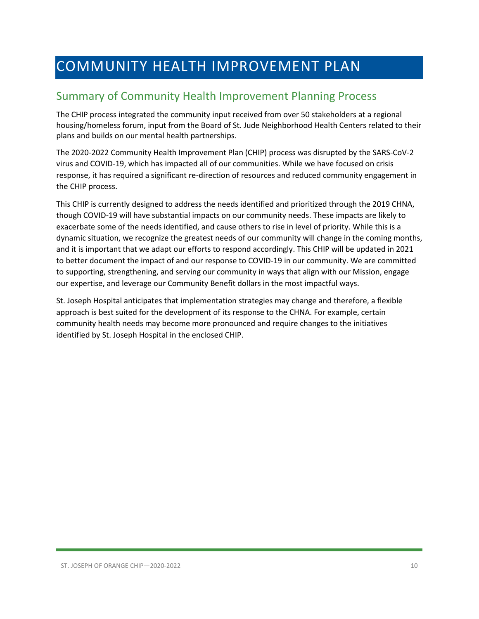# <span id="page-9-0"></span>COMMUNITY HEALTH IMPROVEMENT PLAN

# <span id="page-9-1"></span>Summary of Community Health Improvement Planning Process

The CHIP process integrated the community input received from over 50 stakeholders at a regional housing/homeless forum, input from the Board of St. Jude Neighborhood Health Centers related to their plans and builds on our mental health partnerships.

The 2020-2022 Community Health Improvement Plan (CHIP) process was disrupted by the SARS-CoV-2 virus and COVID-19, which has impacted all of our communities. While we have focused on crisis response, it has required a significant re-direction of resources and reduced community engagement in the CHIP process.

This CHIP is currently designed to address the needs identified and prioritized through the 2019 CHNA, though COVID-19 will have substantial impacts on our community needs. These impacts are likely to exacerbate some of the needs identified, and cause others to rise in level of priority. While this is a dynamic situation, we recognize the greatest needs of our community will change in the coming months, and it is important that we adapt our efforts to respond accordingly. This CHIP will be updated in 2021 to better document the impact of and our response to COVID-19 in our community. We are committed to supporting, strengthening, and serving our community in ways that align with our Mission, engage our expertise, and leverage our Community Benefit dollars in the most impactful ways.

St. Joseph Hospital anticipates that implementation strategies may change and therefore, a flexible approach is best suited for the development of its response to the CHNA. For example, certain community health needs may become more pronounced and require changes to the initiatives identified by St. Joseph Hospital in the enclosed CHIP.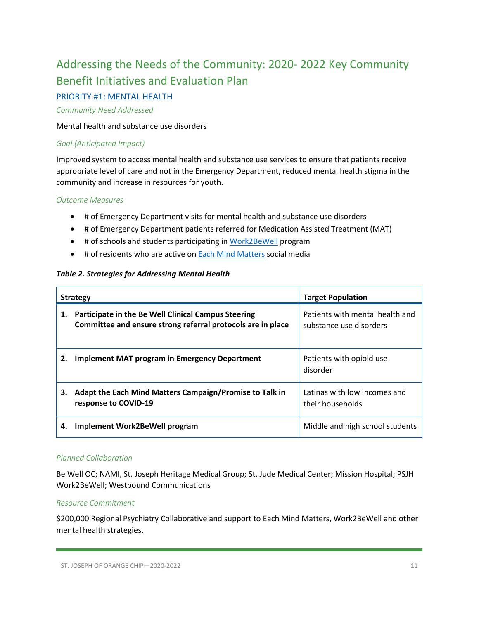# <span id="page-10-0"></span>Addressing the Needs of the Community: 2020- 2022 Key Community Benefit Initiatives and Evaluation Plan

#### PRIORITY #1: MENTAL HEALTH

#### *Community Need Addressed*

#### Mental health and substance use disorders

#### *Goal (Anticipated Impact)*

Improved system to access mental health and substance use services to ensure that patients receive appropriate level of care and not in the Emergency Department, reduced mental health stigma in the community and increase in resources for youth.

#### *Outcome Measures*

- # of Emergency Department visits for mental health and substance use disorders
- # of Emergency Department patients referred for Medication Assisted Treatment (MAT)
- # of schools and students participating i[n Work2BeWell](https://work2bewell.org/) program
- # of residents who are active on **Each Mind Matters** social media

#### *Table 2. Strategies for Addressing Mental Health*

| <b>Strategy</b> |                                                                                                                    | <b>Target Population</b>                                   |
|-----------------|--------------------------------------------------------------------------------------------------------------------|------------------------------------------------------------|
| 1.              | Participate in the Be Well Clinical Campus Steering<br>Committee and ensure strong referral protocols are in place | Patients with mental health and<br>substance use disorders |
| 2.              | <b>Implement MAT program in Emergency Department</b>                                                               | Patients with opioid use<br>disorder                       |
| З.              | Adapt the Each Mind Matters Campaign/Promise to Talk in<br>response to COVID-19                                    | Latinas with low incomes and<br>their households           |
| 4.              | Implement Work2BeWell program                                                                                      | Middle and high school students                            |

#### *Planned Collaboration*

Be Well OC; NAMI, St. Joseph Heritage Medical Group; St. Jude Medical Center; Mission Hospital; PSJH Work2BeWell; Westbound Communications

#### *Resource Commitment*

\$200,000 Regional Psychiatry Collaborative and support to Each Mind Matters, Work2BeWell and other mental health strategies.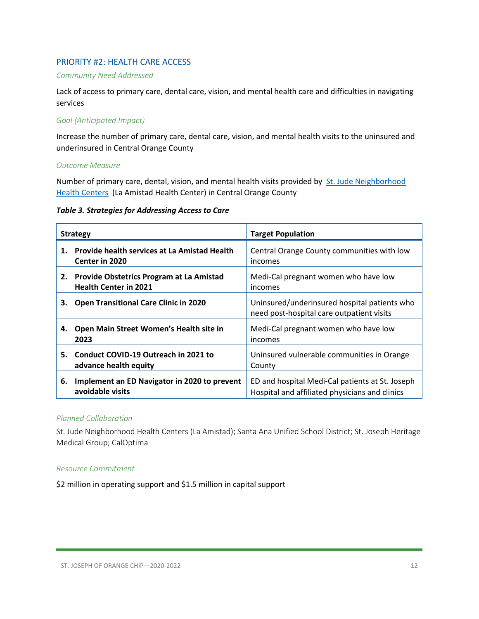#### PRIORITY #2: HEALTH CARE ACCESS

#### *Community Need Addressed*

Lack of access to primary care, dental care, vision, and mental health care and difficulties in navigating services

#### *Goal (Anticipated Impact)*

Increase the number of primary care, dental care, vision, and mental health visits to the uninsured and underinsured in Central Orange County

#### *Outcome Measure*

Number of primary care, dental, vision, and mental health visits provided by [St. Jude Neighborhood](http://www.stjudenhc.com/)  [Health Centers](http://www.stjudenhc.com/) (La Amistad Health Center) in Central Orange County

#### *Table 3. Strategies for Addressing Access to Care*

| <b>Strategy</b> |                                                                                 | <b>Target Population</b>                                                                          |  |
|-----------------|---------------------------------------------------------------------------------|---------------------------------------------------------------------------------------------------|--|
| 1.              | <b>Provide health services at La Amistad Health</b><br><b>Center in 2020</b>    | Central Orange County communities with low<br>incomes                                             |  |
| 2.              | <b>Provide Obstetrics Program at La Amistad</b><br><b>Health Center in 2021</b> | Medi-Cal pregnant women who have low<br>incomes                                                   |  |
| З.              | <b>Open Transitional Care Clinic in 2020</b>                                    | Uninsured/underinsured hospital patients who<br>need post-hospital care outpatient visits         |  |
| 4.              | Open Main Street Women's Health site in<br>2023                                 | Medi-Cal pregnant women who have low<br>incomes                                                   |  |
| 5.              | Conduct COVID-19 Outreach in 2021 to<br>advance health equity                   | Uninsured vulnerable communities in Orange<br>County                                              |  |
| 6.              | Implement an ED Navigator in 2020 to prevent<br>avoidable visits                | ED and hospital Medi-Cal patients at St. Joseph<br>Hospital and affiliated physicians and clinics |  |

#### *Planned Collaboration*

St. Jude Neighborhood Health Centers (La Amistad); Santa Ana Unified School District; St. Joseph Heritage Medical Group; CalOptima

#### *Resource Commitment*

\$2 million in operating support and \$1.5 million in capital support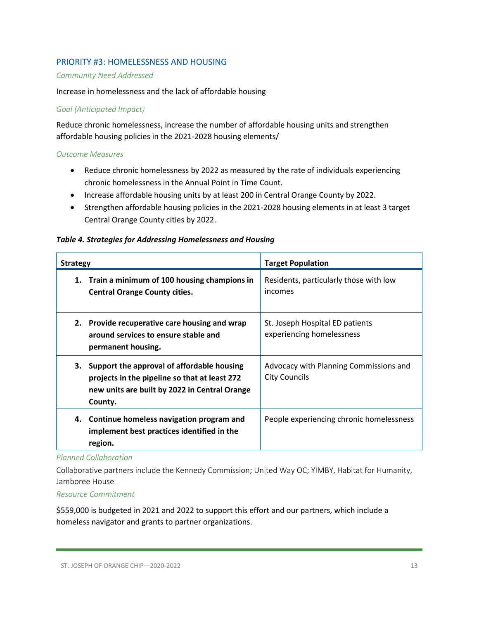#### PRIORITY #3: HOMELESSNESS AND HOUSING

#### *Community Need Addressed*

#### Increase in homelessness and the lack of affordable housing

#### *Goal (Anticipated Impact)*

Reduce chronic homelessness, increase the number of affordable housing units and strengthen affordable housing policies in the 2021-2028 housing elements/

#### *Outcome Measures*

- Reduce chronic homelessness by 2022 as measured by the rate of individuals experiencing chronic homelessness in the Annual Point in Time Count.
- Increase affordable housing units by at least 200 in Central Orange County by 2022.
- Strengthen affordable housing policies in the 2021-2028 housing elements in at least 3 target Central Orange County cities by 2022.

#### *Table 4. Strategies for Addressing Homelessness and Housing*

| <b>Strategy</b>                                                                                                                                            | <b>Target Population</b>                                       |  |
|------------------------------------------------------------------------------------------------------------------------------------------------------------|----------------------------------------------------------------|--|
| Train a minimum of 100 housing champions in<br>1.<br><b>Central Orange County cities.</b>                                                                  | Residents, particularly those with low<br>incomes              |  |
| 2. Provide recuperative care housing and wrap<br>around services to ensure stable and<br>permanent housing.                                                | St. Joseph Hospital ED patients<br>experiencing homelessness   |  |
| 3. Support the approval of affordable housing<br>projects in the pipeline so that at least 272<br>new units are built by 2022 in Central Orange<br>County. | Advocacy with Planning Commissions and<br><b>City Councils</b> |  |
| Continue homeless navigation program and<br>4.<br>implement best practices identified in the<br>region.                                                    | People experiencing chronic homelessness                       |  |

#### *Planned Collaboration*

Collaborative partners include the Kennedy Commission; United Way OC; YIMBY, Habitat for Humanity, Jamboree House

#### *Resource Commitment*

\$559,000 is budgeted in 2021 and 2022 to support this effort and our partners, which include a homeless navigator and grants to partner organizations.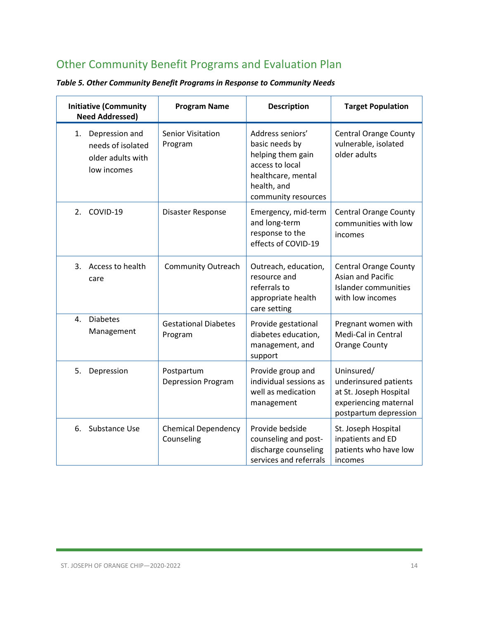# <span id="page-13-0"></span>Other Community Benefit Programs and Evaluation Plan

| <b>Initiative (Community</b><br><b>Need Addressed)</b>                        | <b>Program Name</b>                      | <b>Description</b>                                                                                                                     | <b>Target Population</b>                                                                                        |
|-------------------------------------------------------------------------------|------------------------------------------|----------------------------------------------------------------------------------------------------------------------------------------|-----------------------------------------------------------------------------------------------------------------|
| Depression and<br>1.<br>needs of isolated<br>older adults with<br>low incomes | <b>Senior Visitation</b><br>Program      | Address seniors'<br>basic needs by<br>helping them gain<br>access to local<br>healthcare, mental<br>health, and<br>community resources | <b>Central Orange County</b><br>vulnerable, isolated<br>older adults                                            |
| COVID-19<br>2.                                                                | Disaster Response                        | Emergency, mid-term<br>and long-term<br>response to the<br>effects of COVID-19                                                         | <b>Central Orange County</b><br>communities with low<br>incomes                                                 |
| Access to health<br>3.<br>care                                                | <b>Community Outreach</b>                | Outreach, education,<br>resource and<br>referrals to<br>appropriate health<br>care setting                                             | <b>Central Orange County</b><br><b>Asian and Pacific</b><br>Islander communities<br>with low incomes            |
| <b>Diabetes</b><br>4.<br>Management                                           | <b>Gestational Diabetes</b><br>Program   | Provide gestational<br>diabetes education,<br>management, and<br>support                                                               | Pregnant women with<br>Medi-Cal in Central<br><b>Orange County</b>                                              |
| 5.<br>Depression                                                              | Postpartum<br><b>Depression Program</b>  | Provide group and<br>individual sessions as<br>well as medication<br>management                                                        | Uninsured/<br>underinsured patients<br>at St. Joseph Hospital<br>experiencing maternal<br>postpartum depression |
| Substance Use<br>6.                                                           | <b>Chemical Dependency</b><br>Counseling | Provide bedside<br>counseling and post-<br>discharge counseling<br>services and referrals                                              | St. Joseph Hospital<br>inpatients and ED<br>patients who have low<br>incomes                                    |

*Table 5. Other Community Benefit Programs in Response to Community Needs*